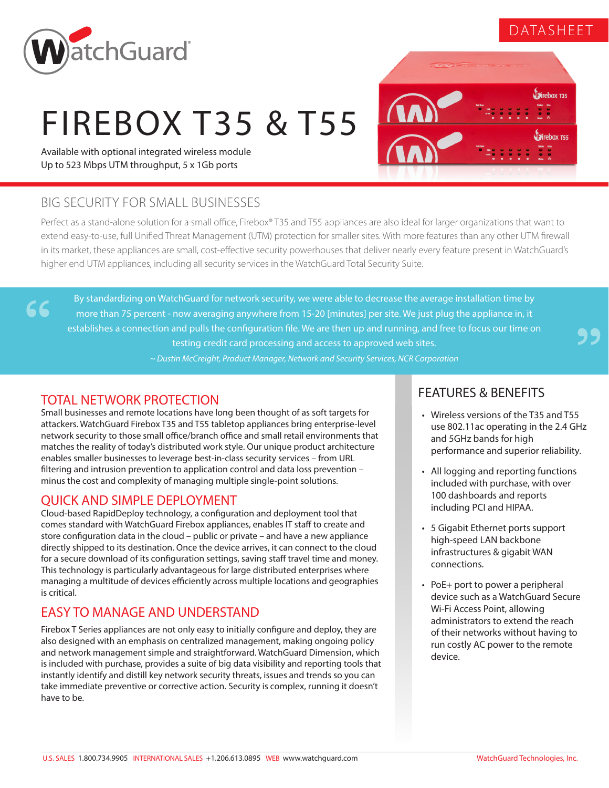## DATASHEET



# FIREBOX T35 & T55

Available with optional integrated wireless module Up to 523 Mbps UTM throughput, 5 x 1Gb ports



## BIG SECURITY FOR SMALL BUSINESSES

Perfect as a stand-alone solution for a small office, Firebox® T35 and T55 appliances are also ideal for larger organizations that want to extend easy-to-use, full Unified Threat Management (UTM) protection for smaller sites. With more features than any other UTM firewall in its market, these appliances are small, cost-effective security powerhouses that deliver nearly every feature present in WatchGuard's higher end UTM appliances, including all security services in the WatchGuard Total Security Suite.

By standardizing on WatchGuard for network security, we were able to decrease the average installation time by more than 75 percent - now averaging anywhere from 15-20 [minutes] per site. We just plug the appliance in, it establishes a connection and pulls the configuration file. We are then up and running, and free to focus our time on testing credit card processing and access to approved web sites.

*~ Dustin McCreight, Product Manager, Network and Security Services, NCR Corporation*

### TOTAL NETWORK PROTECTION

66

Small businesses and remote locations have long been thought of as soft targets for attackers. WatchGuard Firebox T35 and T55 tabletop appliances bring enterprise-level network security to those small office/branch office and small retail environments that matches the reality of today's distributed work style. Our unique product architecture enables smaller businesses to leverage best-in-class security services – from URL filtering and intrusion prevention to application control and data loss prevention – minus the cost and complexity of managing multiple single-point solutions.

#### QUICK AND SIMPLE DEPLOYMENT

Cloud-based RapidDeploy technology, a configuration and deployment tool that comes standard with WatchGuard Firebox appliances, enables IT staff to create and store configuration data in the cloud – public or private – and have a new appliance directly shipped to its destination. Once the device arrives, it can connect to the cloud for a secure download of its configuration settings, saving staff travel time and money. This technology is particularly advantageous for large distributed enterprises where managing a multitude of devices efficiently across multiple locations and geographies is critical.

### EASY TO MANAGE AND UNDERSTAND

Firebox T Series appliances are not only easy to initially configure and deploy, they are also designed with an emphasis on centralized management, making ongoing policy and network management simple and straightforward. WatchGuard Dimension, which is included with purchase, provides a suite of big data visibility and reporting tools that instantly identify and distill key network security threats, issues and trends so you can take immediate preventive or corrective action. Security is complex, running it doesn't have to be.

#### FEATURES & BENEFITS

- Wireless versions of the T35 and T55 use 802.11ac operating in the 2.4 GHz and 5GHz bands for high performance and superior reliability.
- All logging and reporting functions included with purchase, with over 100 dashboards and reports including PCI and HIPAA.
- 5 Gigabit Ethernet ports support high-speed LAN backbone infrastructures & gigabit WAN connections.
- PoE+ port to power a peripheral device such as a WatchGuard Secure Wi-Fi Access Point, allowing administrators to extend the reach of their networks without having to run costly AC power to the remote device.